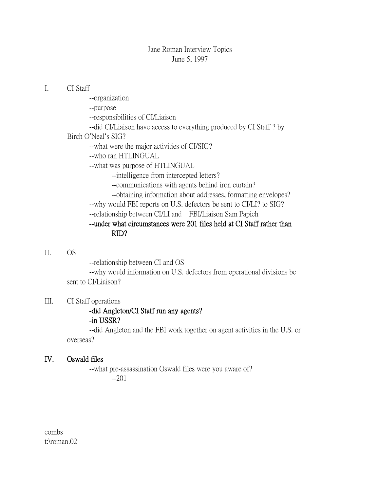### Jane Roman Interview Topics June 5, 1997

#### I. CI Staff

- --organization
- --purpose
- --responsibilities of CI/Liaison
- --did CI/Liaison have access to everything produced by CI Staff ? by
- Birch O'Neal's SIG?
	- --what were the major activities of CI/SIG?
	- --who ran HTLINGUAL
	- --what was purpose of HTLINGUAL
		- --intelligence from intercepted letters?
		- --communications with agents behind iron curtain?
		- --obtaining information about addresses, formatting envelopes?
	- --why would FBI reports on U.S. defectors be sent to CI/LI? to SIG?
	- --relationship between CI/LI and FBI/Liaison Sam Papich

# --under what circumstances were 201 files held at CI Staff rather than RID?

# II. OS

--relationship between CI and OS

--why would information on U.S. defectors from operational divisions be sent to CI/Liaison?

# III. CI Staff operations

#### -did Angleton/CI Staff run any agents? -in USSR?

--did Angleton and the FBI work together on agent activities in the U.S. or overseas?

# IV. Oswald files

--what pre-assassination Oswald files were you aware of? --201

combs t:\roman.02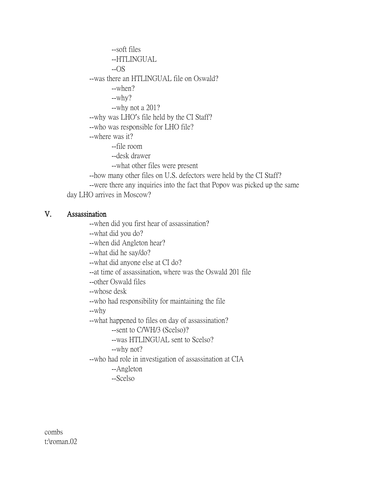--soft files --HTLINGUAL --OS --was there an HTLINGUAL file on Oswald? --when? --why? --why not a 201? --why was LHO's file held by the CI Staff? --who was responsible for LHO file? --where was it? --file room --desk drawer --what other files were present --how many other files on U.S. defectors were held by the CI Staff? --were there any inquiries into the fact that Popov was picked up the same day LHO arrives in Moscow?

#### V. Assassination

--when did you first hear of assassination?

--what did you do?

--when did Angleton hear?

--what did he say/do?

--what did anyone else at CI do?

--at time of assassination, where was the Oswald 201 file

--other Oswald files

--whose desk

--who had responsibility for maintaining the file

--why

--what happened to files on day of assassination?

--sent to C/WH/3 (Scelso)?

--was HTLINGUAL sent to Scelso?

--why not?

--who had role in investigation of assassination at CIA

--Angleton

--Scelso

combs t:\roman.02